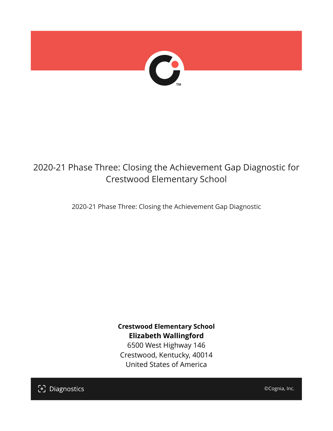

## 2020-21 Phase Three: Closing the Achievement Gap Diagnostic for Crestwood Elementary School

2020-21 Phase Three: Closing the Achievement Gap Diagnostic

**Crestwood Elementary School Elizabeth Wallingford**

6500 West Highway 146 Crestwood, Kentucky, 40014 United States of America

[၁] Diagnostics

©Cognia, Inc.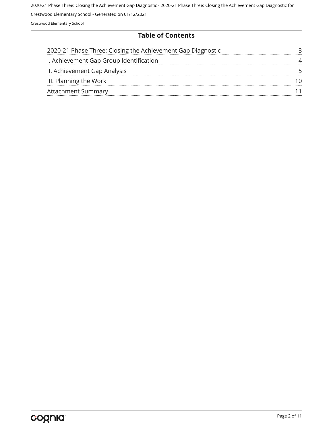#### **Table of Contents**

| 2020-21 Phase Three: Closing the Achievement Gap Diagnostic |  |
|-------------------------------------------------------------|--|
| I. Achievement Gap Group Identification                     |  |
| II. Achievement Gap Analysis                                |  |
| III. Planning the Work                                      |  |
| <b>Attachment Summary</b>                                   |  |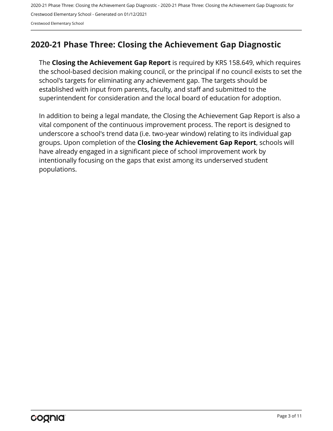Crestwood Elementary School

## <span id="page-2-0"></span>**2020-21 Phase Three: Closing the Achievement Gap Diagnostic**

The **Closing the Achievement Gap Report** is required by KRS 158.649, which requires the school-based decision making council, or the principal if no council exists to set the school's targets for eliminating any achievement gap. The targets should be established with input from parents, faculty, and staff and submitted to the superintendent for consideration and the local board of education for adoption.

In addition to being a legal mandate, the Closing the Achievement Gap Report is also a vital component of the continuous improvement process. The report is designed to underscore a school's trend data (i.e. two-year window) relating to its individual gap groups. Upon completion of the **Closing the Achievement Gap Report**, schools will have already engaged in a significant piece of school improvement work by intentionally focusing on the gaps that exist among its underserved student populations.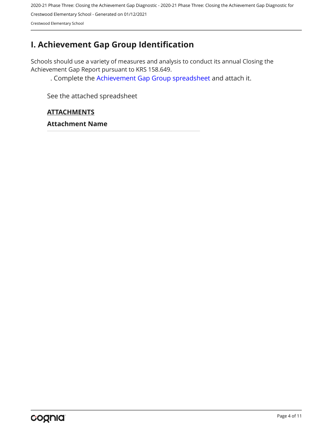Crestwood Elementary School

## <span id="page-3-0"></span>**I. Achievement Gap Group Identification**

Schools should use a variety of measures and analysis to conduct its annual Closing the Achievement Gap Report pursuant to KRS 158.649.

. Complete the [Achievement Gap Group spreadsheet a](https://drive.google.com/file/d/0B7A6n8V1dmUOWFNKY2dSTTFibjA/view?usp=sharing)nd attach it.

See the attached spreadsheet

#### **ATTACHMENTS**

**Attachment Name**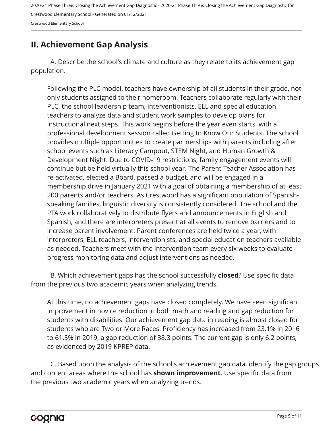Crestwood Elementary School

## <span id="page-4-0"></span>**II. Achievement Gap Analysis**

A. Describe the school's climate and culture as they relate to its achievement gap population.

Following the PLC model, teachers have ownership of all students in their grade, not only students assigned to their homeroom. Teachers collaborate regularly with their PLC, the school leadership team, interventionists, ELL and special education teachers to analyze data and student work samples to develop plans for instructional next steps. This work begins before the year even starts, with a professional development session called Getting to Know Our Students. The school provides multiple opportunities to create partnerships with parents including after school events such as Literacy Campout, STEM Night, and Human Growth & Development Night. Due to COVID-19 restrictions, family engagement events will continue but be held virtually this school year. The Parent-Teacher Association has re-activated, elected a Board, passed a budget, and will be engaged in a membership drive in January 2021 with a goal of obtaining a membership of at least 200 parents and/or teachers. As Crestwood has a significant population of Spanishspeaking families, linguistic diversity is consistently considered. The school and the PTA work collaboratively to distribute flyers and announcements in English and Spanish, and there are interpreters present at all events to remove barriers and to increase parent involvement. Parent conferences are held twice a year, with interpreters, ELL teachers, interventionists, and special education teachers available as needed. Teachers meet with the intervention team every six weeks to evaluate progress monitoring data and adjust interventions as needed.

B. Which achievement gaps has the school successfully **closed**? Use specific data from the previous two academic years when analyzing trends.

At this time, no achievement gaps have closed completely. We have seen significant improvement in novice reduction in both math and reading and gap reduction for students with disabilities. Our achievement gap data in reading is almost closed for students who are Two or More Races. Proficiency has increased from 23.1% in 2016 to 61.5% in 2019, a gap reduction of 38.3 points. The current gap is only 6.2 points, as evidenced by 2019 KPREP data.

C. Based upon the analysis of the school's achievement gap data, identify the gap groups and content areas where the school has **shown improvement**. Use specific data from the previous two academic years when analyzing trends.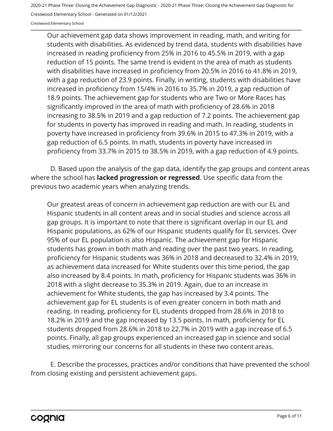Crestwood Elementary School - Generated on 01/12/2021

Crestwood Elementary School

Our achievement gap data shows improvement in reading, math, and writing for students with disabilities. As evidenced by trend data, students with disabilities have increased in reading proficiency from 25% in 2016 to 45.5% in 2019, with a gap reduction of 15 points. The same trend is evident in the area of math as students with disabilities have increased in proficiency from 20.5% in 2016 to 41.8% in 2019, with a gap reduction of 23.9 points. Finally, in writing, students with disabilities have increased in proficiency from 15/4% in 2016 to 35.7% in 2019, a gap reduction of 18.9 points. The achievement gap for students who are Two or More Races has significantly improved in the area of math with proficiency of 28.6% in 2018 increasing to 38.5% in 2019 and a gap reduction of 7.2 points. The achievement gap for students in poverty has improved in reading and math. In reading, students in poverty have increased in proficiency from 39.6% in 2015 to 47.3% in 2019, with a gap reduction of 6.5 points. In math, students in poverty have increased in proficiency from 33.7% in 2015 to 38.5% in 2019, with a gap reduction of 4.9 points.

D. Based upon the analysis of the gap data, identify the gap groups and content areas where the school has **lacked progression or regressed**. Use specific data from the previous two academic years when analyzing trends.

Our greatest areas of concern in achievement gap reduction are with our EL and Hispanic students in all content areas and in social studies and science across all gap groups. It is important to note that there is significant overlap in our EL and Hispanic populations, as 62% of our Hispanic students qualify for EL services. Over 95% of our EL population is also Hispanic. The achievement gap for Hispanic students has grown in both math and reading over the past two years. In reading, proficiency for Hispanic students was 36% in 2018 and decreased to 32.4% in 2019, as achievement data increased for White students over this time period, the gap also increased by 8.4 points. In math, proficiency for Hispanic students was 36% in 2018 with a slight decrease to 35.3% in 2019. Again, due to an increase in achievement for White students, the gap has increased by 3.4 points. The achievement gap for EL students is of even greater concern in both math and reading. In reading, proficiency for EL students dropped from 28.6% in 2018 to 18.2% in 2019 and the gap increased by 13.5 points. In math, proficiency for EL students dropped from 28.6% in 2018 to 22.7% in 2019 with a gap increase of 6.5 points. Finally, all gap groups experienced an increased gap in science and social studies, mirroring our concerns for all students in these two content areas.

E. Describe the processes, practices and/or conditions that have prevented the school from closing existing and persistent achievement gaps.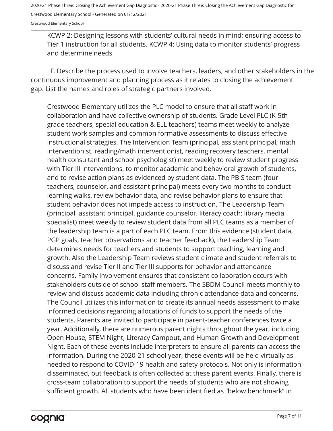Crestwood Elementary School

KCWP 2: Designing lessons with students' cultural needs in mind; ensuring access to Tier 1 instruction for all students. KCWP 4: Using data to monitor students' progress and determine needs

F. Describe the process used to involve teachers, leaders, and other stakeholders in the continuous improvement and planning process as it relates to closing the achievement gap. List the names and roles of strategic partners involved.

Crestwood Elementary utilizes the PLC model to ensure that all staff work in collaboration and have collective ownership of students. Grade Level PLC (K-5th grade teachers, special education & ELL teachers) teams meet weekly to analyze student work samples and common formative assessments to discuss effective instructional strategies. The Intervention Team (principal, assistant principal, math interventionist, reading/math interventionist, reading recovery teachers, mental health consultant and school psychologist) meet weekly to review student progress with Tier III interventions, to monitor academic and behavioral growth of students, and to revise action plans as evidenced by student data. The PBIS team (four teachers, counselor, and assistant principal) meets every two months to conduct learning walks, review behavior data, and revise behavior plans to ensure that student behavior does not impede access to instruction. The Leadership Team (principal, assistant principal, guidance counselor, literacy coach; library media specialist) meet weekly to review student data from all PLC teams as a member of the leadership team is a part of each PLC team. From this evidence (student data, PGP goals, teacher observations and teacher feedback), the Leadership Team determines needs for teachers and students to support teaching, learning and growth. Also the Leadership Team reviews student climate and student referrals to discuss and revise Tier II and Tier III supports for behavior and attendance concerns. Family involvement ensures that consistent collaboration occurs with stakeholders outside of school staff members. The SBDM Council meets monthly to review and discuss academic data including chronic attendance data and concerns. The Council utilizes this information to create its annual needs assessment to make informed decisions regarding allocations of funds to support the needs of the students. Parents are invited to participate in parent-teacher conferences twice a year. Additionally, there are numerous parent nights throughout the year, including Open House, STEM Night, Literacy Campout, and Human Growth and Development Night. Each of these events include interpreters to ensure all parents can access the information. During the 2020-21 school year, these events will be held virtually as needed to respond to COVID-19 health and safety protocols. Not only is information disseminated, but feedback is often collected at these parent events. Finally, there is cross-team collaboration to support the needs of students who are not showing sufficient growth. All students who have been identified as "below benchmark" in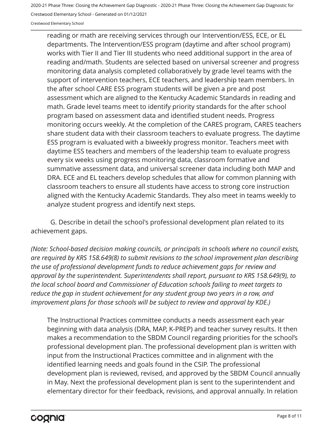Crestwood Elementary School - Generated on 01/12/2021

Crestwood Elementary School

reading or math are receiving services through our Intervention/ESS, ECE, or EL departments. The Intervention/ESS program (daytime and after school program) works with Tier II and Tier III students who need additional support in the area of reading and/math. Students are selected based on universal screener and progress monitoring data analysis completed collaboratively by grade level teams with the support of intervention teachers, ECE teachers, and leadership team members. In the after school CARE ESS program students will be given a pre and post assessment which are aligned to the Kentucky Academic Standards in reading and math. Grade level teams meet to identify priority standards for the after school program based on assessment data and identified student needs. Progress monitoring occurs weekly. At the completion of the CARES program, CARES teachers share student data with their classroom teachers to evaluate progress. The daytime ESS program is evaluated with a biweekly progress monitor. Teachers meet with daytime ESS teachers and members of the leadership team to evaluate progress every six weeks using progress monitoring data, classroom formative and summative assessment data, and universal screener data including both MAP and DRA. ECE and EL teachers develop schedules that allow for common planning with classroom teachers to ensure all students have access to strong core instruction aligned with the Kentucky Academic Standards. They also meet in teams weekly to analyze student progress and identify next steps.

G. Describe in detail the school's professional development plan related to its achievement gaps.

*(Note: School-based decision making councils, or principals in schools where no council exists, are required by KRS 158.649(8) to submit revisions to the school improvement plan describing the use of professional development funds to reduce achievement gaps for review and approval by the superintendent. Superintendents shall report, pursuant to KRS 158.649(9), to the local school board and Commissioner of Education schools failing to meet targets to reduce the gap in student achievement for any student group two years in a row, and improvement plans for those schools will be subject to review and approval by KDE.)* 

The Instructional Practices committee conducts a needs assessment each year beginning with data analysis (DRA, MAP, K-PREP) and teacher survey results. It then makes a recommendation to the SBDM Council regarding priorities for the school's professional development plan. The professional development plan is written with input from the Instructional Practices committee and in alignment with the identified learning needs and goals found in the CSIP. The professional development plan is reviewed, revised, and approved by the SBDM Council annually in May. Next the professional development plan is sent to the superintendent and elementary director for their feedback, revisions, and approval annually. In relation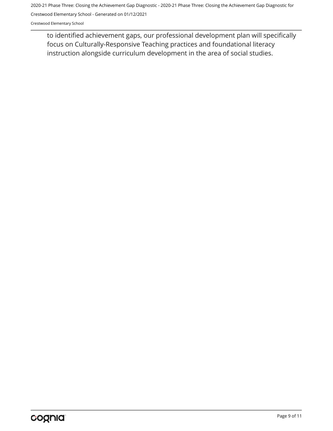Crestwood Elementary School - Generated on 01/12/2021

Crestwood Elementary School

to identified achievement gaps, our professional development plan will specifically focus on Culturally-Responsive Teaching practices and foundational literacy instruction alongside curriculum development in the area of social studies.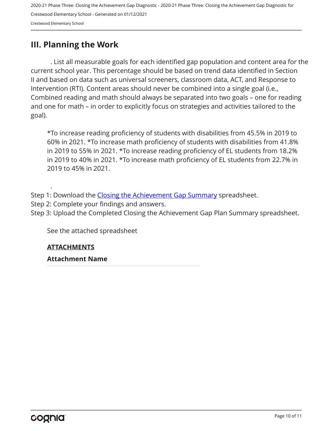### <span id="page-9-0"></span>**III. Planning the Work**

. List all measurable goals for each identified gap population and content area for the current school year. This percentage should be based on trend data identified in Section II and based on data such as universal screeners, classroom data, ACT, and Response to Intervention (RTI). Content areas should never be combined into a single goal (i.e., Combined reading and math should always be separated into two goals – one for reading and one for math – in order to explicitly focus on strategies and activities tailored to the goal).

\*To increase reading proficiency of students with disabilities from 45.5% in 2019 to 60% in 2021. \*To increase math proficiency of students with disabilities from 41.8% in 2019 to 55% in 2021. \*To increase reading proficiency of EL students from 18.2% in 2019 to 40% in 2021. \*To increase math proficiency of EL students from 22.7% in 2019 to 45% in 2021.

.

Step 1: Download the [Closing the Achievement Gap Summary](https://drive.google.com/file/d/0B6i22i6omk4ySmUtTHZuSVRFazQ/view) spreadsheet.

- Step 2: Complete your findings and answers.
- Step 3: Upload the Completed Closing the Achievement Gap Plan Summary spreadsheet.

See the attached spreadsheet

#### **ATTACHMENTS**

**Attachment Name**